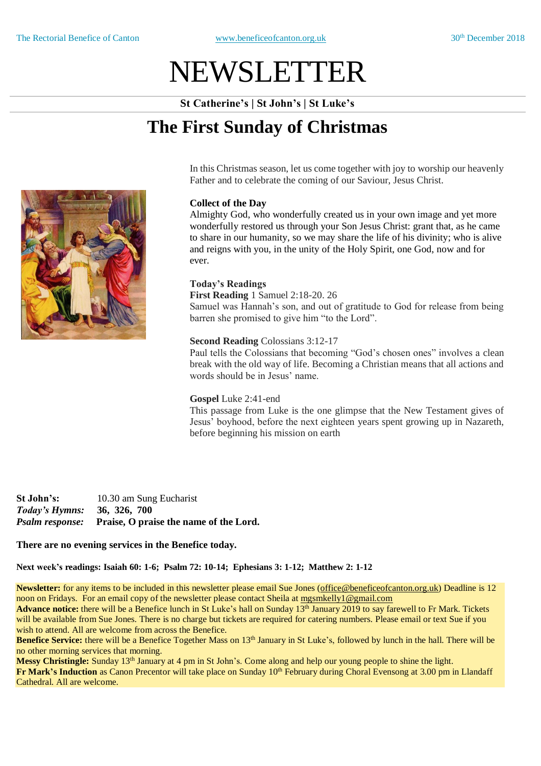# NEWSLETTER

**St Catherine's | St John's | St Luke's**

# **The First Sunday of Christmas**

In this Christmas season, let us come together with joy to worship our heavenly Father and to celebrate the coming of our Saviour, Jesus Christ.

## **Collect of the Day**

Almighty God, who wonderfully created us in your own image and yet more wonderfully restored us through your Son Jesus Christ: grant that, as he came to share in our humanity, so we may share the life of his divinity; who is alive and reigns with you, in the unity of the Holy Spirit, one God, now and for ever.

# **Today's Readings**

**First Reading** 1 Samuel 2:18-20. 26 Samuel was Hannah's son, and out of gratitude to God for release from being barren she promised to give him "to the Lord".

## **Second Reading** Colossians 3:12-17

Paul tells the Colossians that becoming "God's chosen ones" involves a clean break with the old way of life. Becoming a Christian means that all actions and words should be in Jesus' name.

#### **Gospel** Luke 2:41-end

This passage from Luke is the one glimpse that the New Testament gives of Jesus' boyhood, before the next eighteen years spent growing up in Nazareth, before beginning his mission on earth

**St John's:** 10.30 am Sung Eucharist *Today's Hymns:* **36, 326, 700** *Psalm response:* **Praise, O praise the name of the Lord.**

#### **There are no evening services in the Benefice today.**

**Next week's readings: Isaiah 60: 1-6; Psalm 72: 10-14; Ephesians 3: 1-12; Matthew 2: 1-12**

**Newsletter:** for any items to be included in this newsletter please email Sue Jones (office@beneficeofcanton.org.uk) Deadline is 12 noon on Fridays. For an email copy of the newsletter please contact Sheila at [mgsmkelly1@gmail.com](mailto:mgsmkelly1@gmail.com)

**Advance notice:** there will be a Benefice lunch in St Luke's hall on Sunday 13<sup>th</sup> January 2019 to say farewell to Fr Mark. Tickets will be available from Sue Jones. There is no charge but tickets are required for catering numbers. Please email or text Sue if you wish to attend. All are welcome from across the Benefice.

**Benefice Service:** there will be a Benefice Together Mass on 13<sup>th</sup> January in St Luke's, followed by lunch in the hall. There will be no other morning services that morning.

Messy Christingle: Sunday 13<sup>th</sup> January at 4 pm in St John's. Come along and help our young people to shine the light. **Fr Mark's Induction** as Canon Precentor will take place on Sunday 10<sup>th</sup> February during Choral Evensong at 3.00 pm in Llandaff Cathedral. All are welcome.